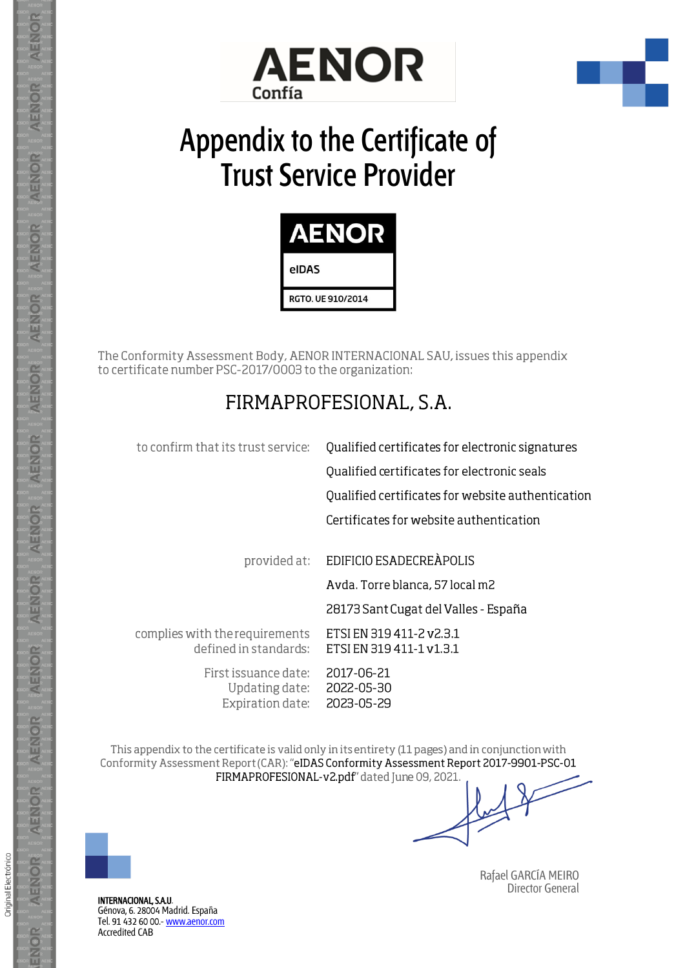



# **Appendix to the Certificate of Trust Service Provider**



The Conformity Assessment Body, AENOR INTERNACIONAL SAU, issues this appendix to certificate number PSC-2017/0003 to the organization:

# FIRMAPROFESIONAL, S.A.

| Qualified certificates for electronic signatures     |
|------------------------------------------------------|
| Qualified certificates for electronic seals          |
| Qualified certificates for website authentication    |
| Certificates for website authentication              |
|                                                      |
| EDIFICIO ESADECREÀPOLIS                              |
| Avda. Torre blanca, 57 local m2                      |
| 28173 Sant Cugat del Valles - España                 |
| ETSI EN 319 411-2 v2.3.1<br>ETSI EN 319 411-1 v1.3.1 |
| 2017-06-21<br>2022-05-30<br>2023-05-29               |
|                                                      |

This appendix to the certificate is valid only in its entirety (11 pages) and in conjunction with Conformity Assessment Report (CAR): "eIDAS Conformity Assessment Report 2017-9901-PSC-01 FIRMAPROFESIONAL-v2.pdf" dated June 09, 2021.



**AENOR** 

AENOR

**AENOR** 

**AENOR** 

AENOR

**AENOR** 

**AENOR** 

**AENOR** 

AENOR

**AENOR** 

**AENOR** 

AENOR

**AENOR** 

ENOR

Original Electrónico

INTERNACIONAL, S.A.U. Génova, 6. 28004 Madrid. España Tel. 91 432 60 00.- [www.aenor.com](http://www.aenor.com/) [Accredited](https://www.enac.es/documents/7020/5ae31445-73fa-4e16-acc4-78e079375c4f) CAB

 Rafael GARCÍA MEIRO Director General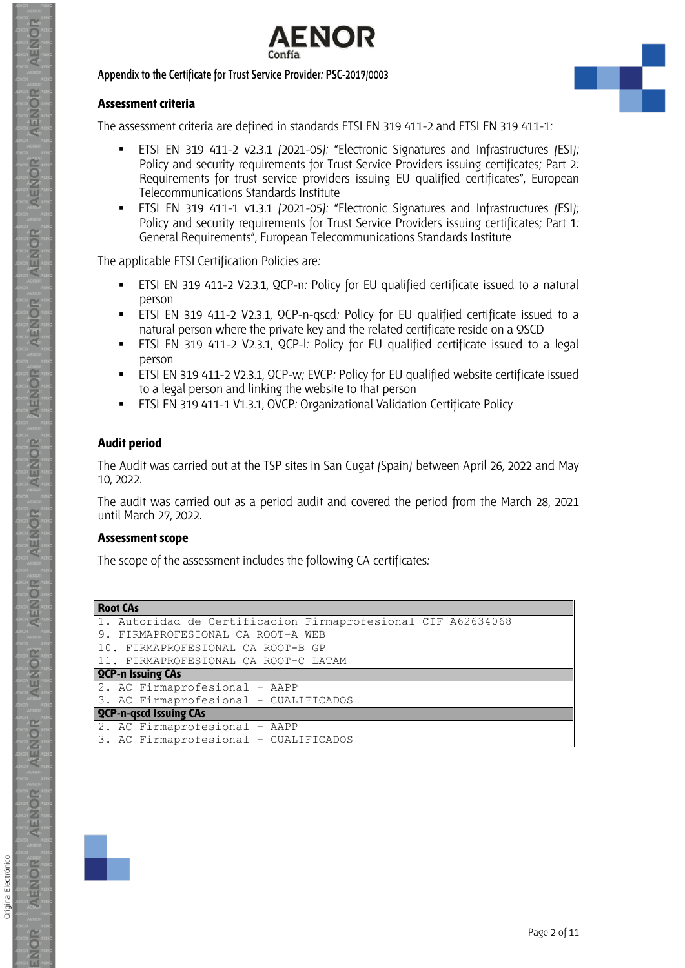

#### **Assessment criteria**

The assessment criteria are defined in standards ETSI EN 319 411-2 and ETSI EN 319 411-1:

- ETSI EN 319 411-2 v2.3.1 (2021-05): "Electronic Signatures and Infrastructures (ESI); Policy and security requirements for Trust Service Providers issuing certificates; Part 2: Requirements for trust service providers issuing EU qualified certificates", European Telecommunications Standards Institute
- ETSI EN 319 411-1 v1.3.1 (2021-05): "Electronic Signatures and Infrastructures (ESI); Policy and security requirements for Trust Service Providers issuing certificates; Part 1: General Requirements", European Telecommunications Standards Institute

The applicable ETSI Certification Policies are:

- ETSI EN 319 411-2 V2.3.1, QCP-n: Policy for EU qualified certificate issued to a natural person
- ETSI EN 319 411-2 V2.3.1, QCP-n-gscd: Policy for EU qualified certificate issued to a natural person where the private key and the related certificate reside on a QSCD
- ETSI EN 319 411-2 V2.3.1, QCP-l: Policy for EU qualified certificate issued to a legal person
- ETSI EN 319 411-2 V2.3.1, QCP-w; EVCP: Policy for EU qualified website certificate issued to a legal person and linking the website to that person
- ETSI EN 319 411-1 V1.3.1, OVCP: Organizational Validation Certificate Policy

#### **Audit period**

The Audit was carried out at the TSP sites in San Cugat (Spain) between April 26, 2022 and May 10, 2022.

The audit was carried out as a period audit and covered the period from the March 28, 2021 until March 27, 2022.

#### **Assessment scope**

The scope of the assessment includes the following CA certificates:

**Root CAs**

| INUUL LAJ                                                    |
|--------------------------------------------------------------|
| 1. Autoridad de Certificacion Firmaprofesional CIF A62634068 |
| 9. FIRMAPROFESIONAL CA ROOT-A WEB                            |
| 10. FIRMAPROFESIONAL CA ROOT-B GP                            |
| 11. FIRMAPROFESIONAL CA ROOT-C LATAM                         |
| <b>QCP-n Issuing CAs</b>                                     |
| 2. AC Firmaprofesional - AAPP                                |
| 3. AC Firmaprofesional - CUALIFICADOS                        |
| <b>QCP-n-gscd Issuing CAs</b>                                |
| 2. AC Firmaprofesional - AAPP                                |
| 3. AC Firmaprofesional - CUALIFICADOS                        |



Original Electrónico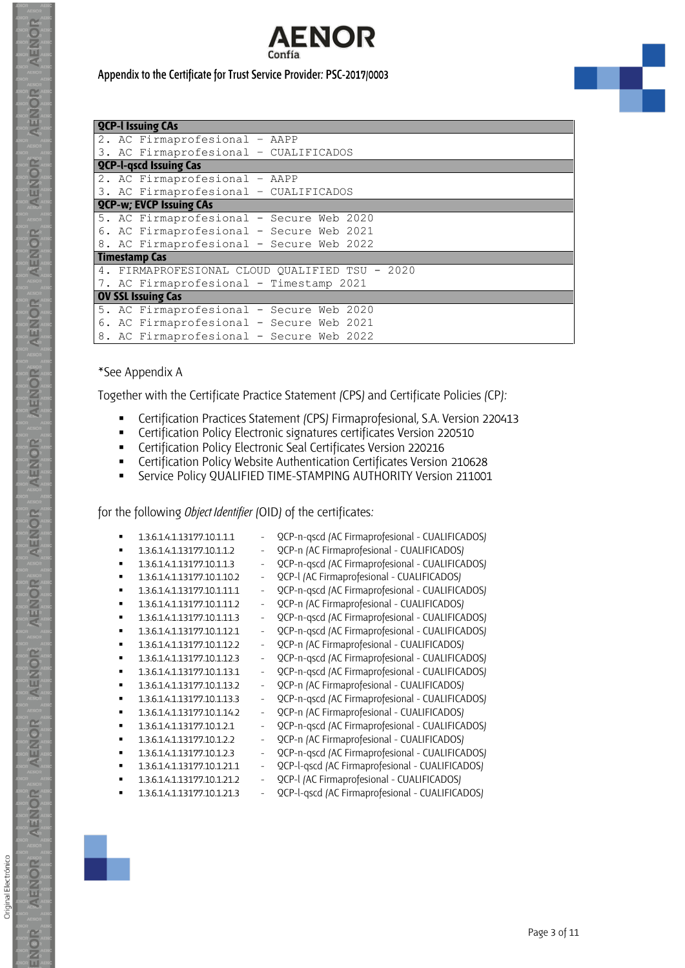

|  | <b>QCP-I Issuing CAs</b>                 |                                                |
|--|------------------------------------------|------------------------------------------------|
|  | 2. AC Firmaprofesional - AAPP            |                                                |
|  | 3. AC Firmaprofesional - CUALIFICADOS    |                                                |
|  | <b>QCP-I-gscd Issuing Cas</b>            |                                                |
|  | 2. AC Firmaprofesional - AAPP            |                                                |
|  | 3. AC Firmaprofesional - CUALIFICADOS    |                                                |
|  | <b>QCP-w; EVCP Issuing CAs</b>           |                                                |
|  | 5. AC Firmaprofesional - Secure Web 2020 |                                                |
|  | 6. AC Firmaprofesional - Secure Web 2021 |                                                |
|  | 8. AC Firmaprofesional - Secure Web 2022 |                                                |
|  | Timestamp Cas                            |                                                |
|  |                                          | 4. FIRMAPROFESIONAL CLOUD QUALIFIED TSU - 2020 |
|  | 7. AC Firmaprofesional - Timestamp 2021  |                                                |
|  | <b>OV SSL Issuing Cas</b>                |                                                |
|  | 5. AC Firmaprofesional - Secure Web 2020 |                                                |
|  | 6. AC Firmaprofesional - Secure Web 2021 |                                                |
|  | 8. AC Firmaprofesional - Secure Web 2022 |                                                |

#### \*See [Appendix A](#page-8-0)

Together with the Certificate Practice Statement (CPS) and Certificate Policies (CP):

- Certification Practices Statement (CPS) Firmaprofesional, S.A. Version 220413<br>■ Certification Policy Flectronic signatures certificates Version 220510
- Certification Policy Electronic signatures certificates Version 220510
- Certification Policy Electronic Seal Certificates Version 220216
- Certification Policy Website Authentication Certificates Version 210628
- **EXECT:** Service Policy QUALIFIED TIME-STAMPING AUTHORITY Version 211001

for the following *Object Identifier* (OID) of the certificates:

|                | 1.3.6.1.4.1.13177.10.1.1.1  | $\overline{\phantom{a}}$ | QCP-n-qscd (AC Firmaprofesional - CUALIFICADOS) |
|----------------|-----------------------------|--------------------------|-------------------------------------------------|
|                | 1.3.6.1.4.1.13177.10.1.1.2  | $\qquad \qquad -$        | QCP-n (AC Firmaprofesional - CUALIFICADOS)      |
| ٠              | 1.3.6.1.4.1.13177.10.1.1.3  | $\frac{1}{2}$            | QCP-n-qscd (AC Firmaprofesional - CUALIFICADOS) |
| ٠              | 1.3.6.1.4.1.13177.10.1.10.2 | $\overline{\phantom{a}}$ | QCP-I (AC Firmaprofesional - CUALIFICADOS)      |
| ٠              | 1.3.6.1.4.1.13177.10.1.11.1 | $\overline{\phantom{a}}$ | QCP-n-qscd (AC Firmaprofesional - CUALIFICADOS) |
| ٠              | 1.3.6.1.4.1.13177.10.1.11.2 | $\overline{\phantom{a}}$ | QCP-n (AC Firmaprofesional - CUALIFICADOS)      |
| ٠              | 1.3.6.1.4.1.13177.10.1.11.3 | $\overline{\phantom{a}}$ | QCP-n-qscd (AC Firmaprofesional - CUALIFICADOS) |
| ٠              | 1.3.6.1.4.1.13177.10.1.12.1 | $\overline{\phantom{a}}$ | QCP-n-qscd (AC Firmaprofesional - CUALIFICADOS) |
| ٠              | 1.3.6.1.4.1.13177.10.1.12.2 | $\overline{\phantom{a}}$ | QCP-n (AC Firmaprofesional - CUALIFICADOS)      |
| $\blacksquare$ | 1.3.6.1.4.1.13177.10.1.12.3 | $\overline{\phantom{a}}$ | QCP-n-qscd (AC Firmaprofesional - CUALIFICADOS) |
| ٠              | 1.3.6.1.4.1.13177.10.1.13.1 | $\overline{\phantom{a}}$ | QCP-n-qscd (AC Firmaprofesional - CUALIFICADOS) |
| ٠              | 1.3.6.1.4.1.13177.10.1.13.2 | $\frac{1}{2}$            | QCP-n (AC Firmaprofesional - CUALIFICADOS)      |
| ٠              | 1.3.6.1.4.1.13177.10.1.13.3 | $\frac{1}{2}$            | QCP-n-qscd (AC Firmaprofesional - CUALIFICADOS) |
| ٠              | 1.3.6.1.4.1.13177.10.1.14.2 | $\overline{\phantom{a}}$ | QCP-n (AC Firmaprofesional - CUALIFICADOS)      |
| ٠              | 1.3.6.1.4.1.13177.10.1.2.1  | $\overline{\phantom{a}}$ | QCP-n-qscd (AC Firmaprofesional - CUALIFICADOS) |
| ٠              | 1.3.6.1.4.1.13177.10.1.2.2  | $\overline{\phantom{a}}$ | QCP-n (AC Firmaprofesional - CUALIFICADOS)      |
| ٠              | 1.3.6.1.4.1.13177.10.1.2.3  | $\overline{\phantom{a}}$ | QCP-n-qscd (AC Firmaprofesional - CUALIFICADOS) |
| ٠              | 1.3.6.1.4.1.13177.10.1.21.1 | $\overline{\phantom{a}}$ | QCP-l-qscd (AC Firmaprofesional - CUALIFICADOS) |
|                | 1.3.6.1.4.1.13177.10.1.21.2 | $\overline{\phantom{a}}$ | QCP-I (AC Firmaprofesional - CUALIFICADOS)      |
|                | 1.3.6.1.4.1.13177.10.1.21.3 |                          | QCP-l-qscd (AC Firmaprofesional - CUALIFICADOS) |





Original Electrónico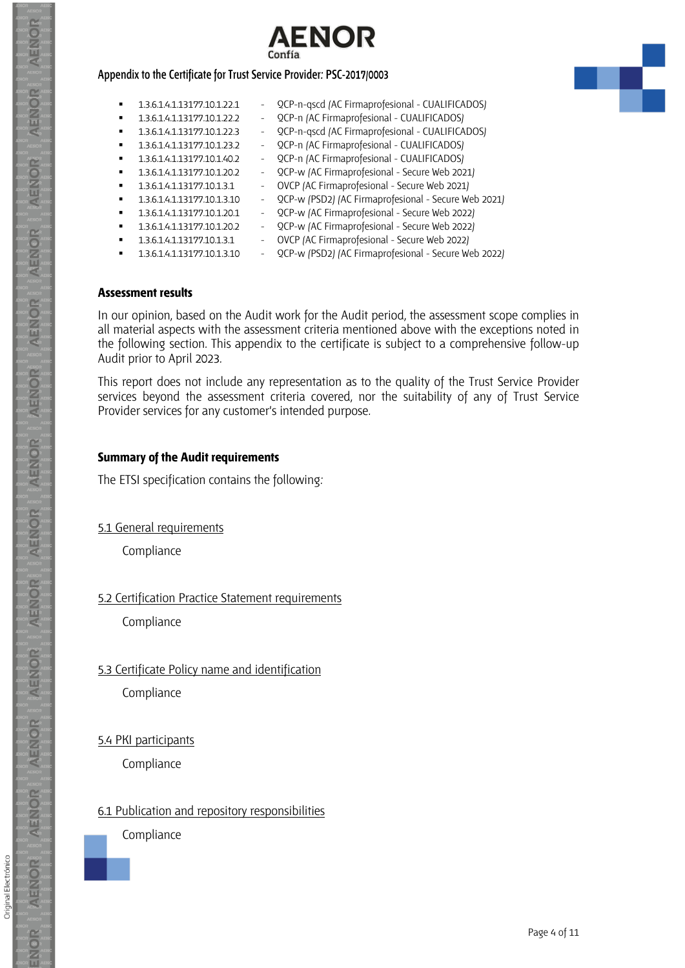



- 1.3.6.1.4.1.13177.10.1.22.1 QCP-n-qscd (AC Firmaprofesional CUALIFICADOS)
	- 1.3.6.1.4.1.13177.10.1.22.2 QCP-n (AC Firmaprofesional CUALIFICADOS)
	- 1.3.6.1.4.1.13177.10.1.22.3 QCP-n-qscd (AC Firmaprofesional CUALIFICADOS)
	- 1.3.6.1.4.1.13177.10.1.23.2 QCP-n (AC Firmaprofesional CUALIFICADOS)
	- 1.3.6.1.4.1.13177.10.1.40.2 QCP-n (AC Firmaprofesional CUALIFICADOS)
	- 1.3.6.1.4.1.13177.10.1.20.2 QCP-w (AC Firmaprofesional Secure Web 2021)
	- 1.3.6.1.4.1.13177.10.1.3.1 OVCP (AC Firmaprofesional Secure Web 2021)
	- 1.3.6.1.4.1.13177.10.1.3.10 QCP-w (PSD2) (AC Firmaprofesional Secure Web 2021)
	- 1.3.6.1.4.1.13177.10.1.20.1 QCP-w (AC Firmaprofesional Secure Web 2022)
- 1.3.6.1.4.1.13177.10.1.20.2 QCP-w (AC Firmaprofesional Secure Web 2022)
	- 1.3.6.1.4.1.13177.10.1.3.1 OVCP (AC Firmaprofesional Secure Web 2022)
		-
- 
- 1.3.6.1.4.1.13177.10.1.3.10 QCP-w (PSD2) (AC Firmaprofesional Secure Web 2022)

#### **Assessment results**

In our opinion, based on the Audit work for the Audit period, the assessment scope complies in all material aspects with the assessment criteria mentioned above with the exceptions noted in the following section. This appendix to the certificate is subject to a comprehensive follow-up Audit prior to April 2023.

This report does not include any representation as to the quality of the Trust Service Provider services beyond the assessment criteria covered, nor the suitability of any of Trust Service Provider services for any customer's intended purpose.

#### **Summary of the Audit requirements**

The ETSI specification contains the following:

5.1 General requirements

**Compliance** 

# 5.2 Certification Practice Statement requirements

Compliance

# 5.3 Certificate Policy name and identification

**Compliance** 

5.4 PKI participants

**Compliance** 

# 6.1 Publication and repository responsibilities

Compliance

Original Electrónico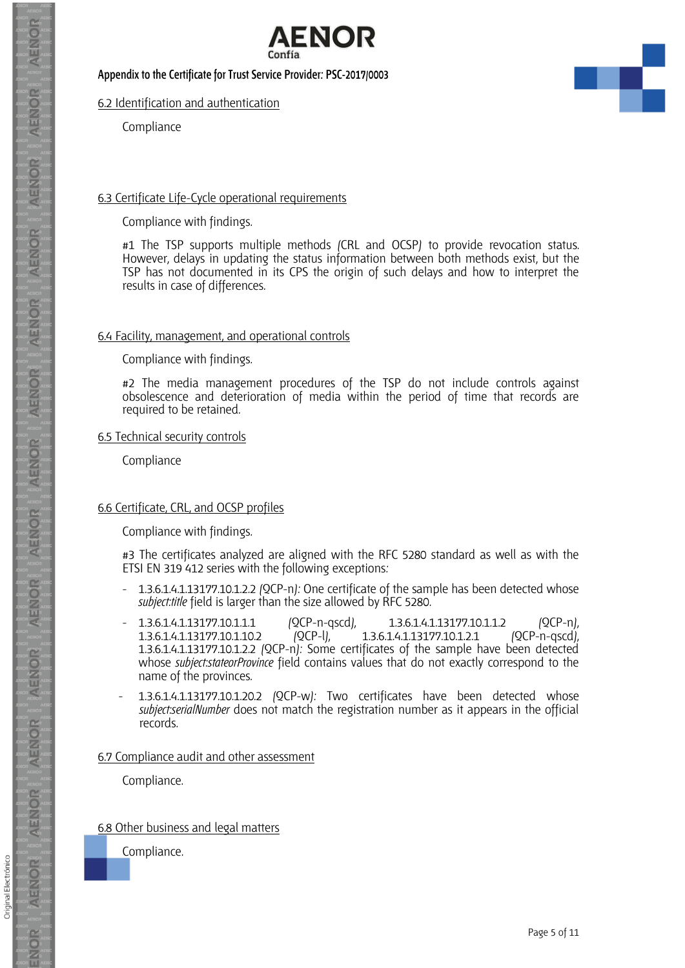

#### 6.2 Identification and authentication

Compliance

#### 6.3 Certificate Life-Cycle operational requirements

Compliance with findings.

#1 The TSP supports multiple methods (CRL and OCSP) to provide revocation status. However, delays in updating the status information between both methods exist, but the TSP has not documented in its CPS the origin of such delays and how to interpret the results in case of differences.

#### 6.4 Facility, management, and operational controls

Compliance with findings.

#2 The media management procedures of the TSP do not include controls against obsolescence and deterioration of media within the period of time that records are required to be retained.

#### 6.5 Technical security controls

Compliance

#### 6.6 Certificate, CRL, and OCSP profiles

Compliance with findings.

#3 The certificates analyzed are aligned with the RFC 5280 standard as well as with the ETSI EN 319 412 series with the following exceptions:

- 1.3.6.1.4.1.13177.10.1.2.2 (QCP-n): One certificate of the sample has been detected whose *subject:title* field is larger than the size allowed by RFC 5280.
- 1.3.6.1.4.1.13177.10.1.1.1 (QCP-n-qscd), 1.3.6.1.4.1.13177.10.1.1.2 (QCP-n),<br>1.3.6.1.4.1.13177.10.1.10.2 (QCP-l), 1.3.6.1.4.1.13177.10.1.2.1 (QCP-n-qscd), 1.3.6.1.4.1.13177.10.1.2.1 1.3.6.1.4.1.13177.10.1.2.2 (QCP-n): Some certificates of the sample have been detected whose *subject:stateorProvince* field contains values that do not exactly correspond to the name of the provinces.
- 1.3.6.1.4.1.13177.10.1.20.2 (QCP-w): Two certificates have been detected whose *subject:serialNumber* does not match the registration number as it appears in the official records.

#### 6.7 Compliance audit and other assessment

Compliance.

#### 6.8 Other business and legal matters

Compliance.



**AENOR** 

AENOR

AENOR

**AENOR** 

AENIOR

AENOR

**AENOR** 

AENOR

AENOR

**AENOR** 

**AENOR** 

AENOR

**AENOR** 

ENOR

Original Electrónico

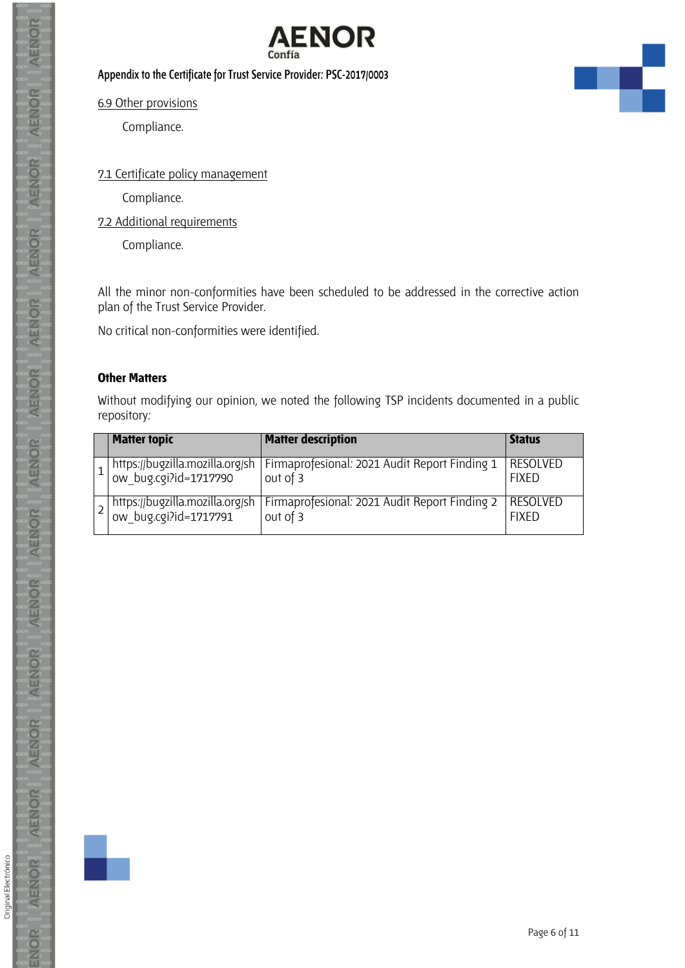

6.9 Other provisions

Compliance.

#### 7.1 Certificate policy management

Compliance.

7.2 Additional requirements

Compliance.

All the minor non-conformities have been scheduled to be addressed in the corrective action plan of the Trust Service Provider.

No critical non-conformities were identified.

#### **Other Matters**

Without modifying our opinion, we noted the following TSP incidents documented in a public repository:

| <b>Matter topic</b>                                      | <b>Matter description</b>                                 | <b>Status</b>                   |
|----------------------------------------------------------|-----------------------------------------------------------|---------------------------------|
| https://bugzilla.mozilla.org/sh<br>ow_bug.cgi?id=1717790 | Firmaprofesional: 2021 Audit Report Finding 1<br>out of 3 | <b>RESOLVED</b><br><b>FIXFD</b> |
| https://bugzilla.mozilla.org/sh<br>ow_bug.cgi?id=1717791 | Firmaprofesional: 2021 Audit Report Finding 2<br>out of 3 | RESOLVED<br><b>FIXFD</b>        |



Original Electrónico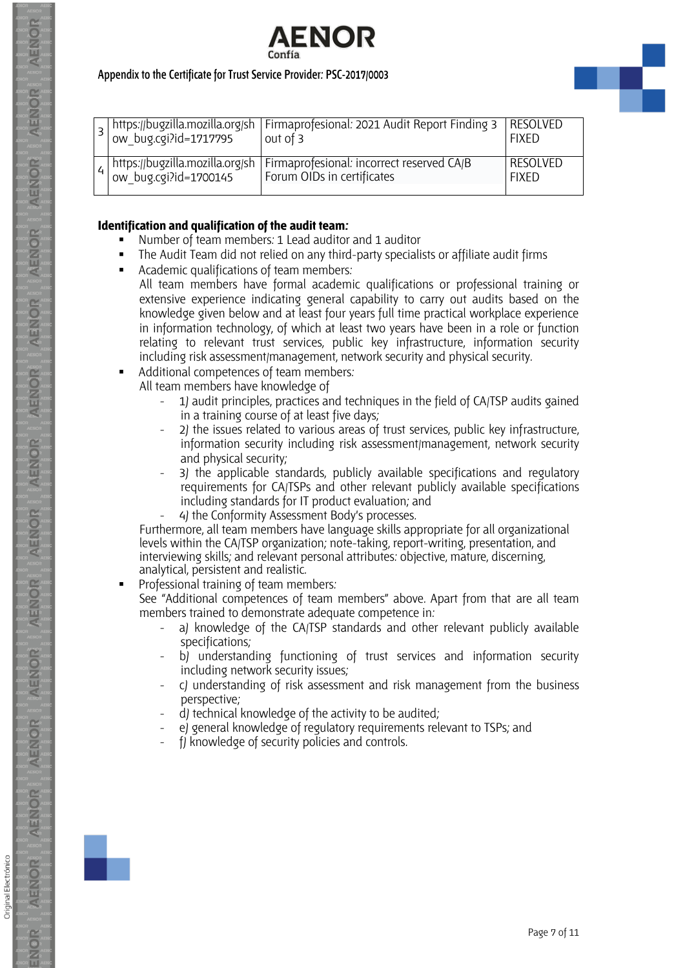



|  | https://bugzilla.mozilla.org/sh<br>  ow_bug.cgi?id=1700145 | Firmaprofesional: incorrect reserved CA/B<br>Forum OIDs in certificates | <b>RESOLVED</b><br><b>FIXED</b> |
|--|------------------------------------------------------------|-------------------------------------------------------------------------|---------------------------------|

#### **Identification and qualification of the audit team:**

- Number of team members: 1 Lead auditor and 1 auditor
- The Audit Team did not relied on any third-party specialists or affiliate audit firms
- Academic qualifications of team members:
	- All team members have formal academic qualifications or professional training or extensive experience indicating general capability to carry out audits based on the knowledge given below and at least four years full time practical workplace experience in information technology, of which at least two years have been in a role or function relating to relevant trust services, public key infrastructure, information security including risk assessment/management, network security and physical security.
- Additional competences of team members:
	- All team members have knowledge of
		- 1) audit principles, practices and techniques in the field of CA/TSP audits gained in a training course of at least five days;
		- 2) the issues related to various areas of trust services, public key infrastructure, information security including risk assessment/management, network security and physical security;
		- 3) the applicable standards, publicly available specifications and regulatory requirements for CA/TSPs and other relevant publicly available specifications including standards for IT product evaluation; and
		- 4) the Conformity Assessment Body's processes.

Furthermore, all team members have language skills appropriate for all organizational levels within the CA/TSP organization; note-taking, report-writing, presentation, and interviewing skills; and relevant personal attributes: objective, mature, discerning, analytical, persistent and realistic.

Professional training of team members:

See "Additional competences of team members" above. Apart from that are all team members trained to demonstrate adequate competence in:

- a) knowledge of the CA/TSP standards and other relevant publicly available specifications;
- b) understanding functioning of trust services and information security including network security issues;
- c) understanding of risk assessment and risk management from the business perspective;
- d) technical knowledge of the activity to be audited;
- e) general knowledge of regulatory requirements relevant to TSPs; and
- f) knowledge of security policies and controls.

AENIOR

**AENOR**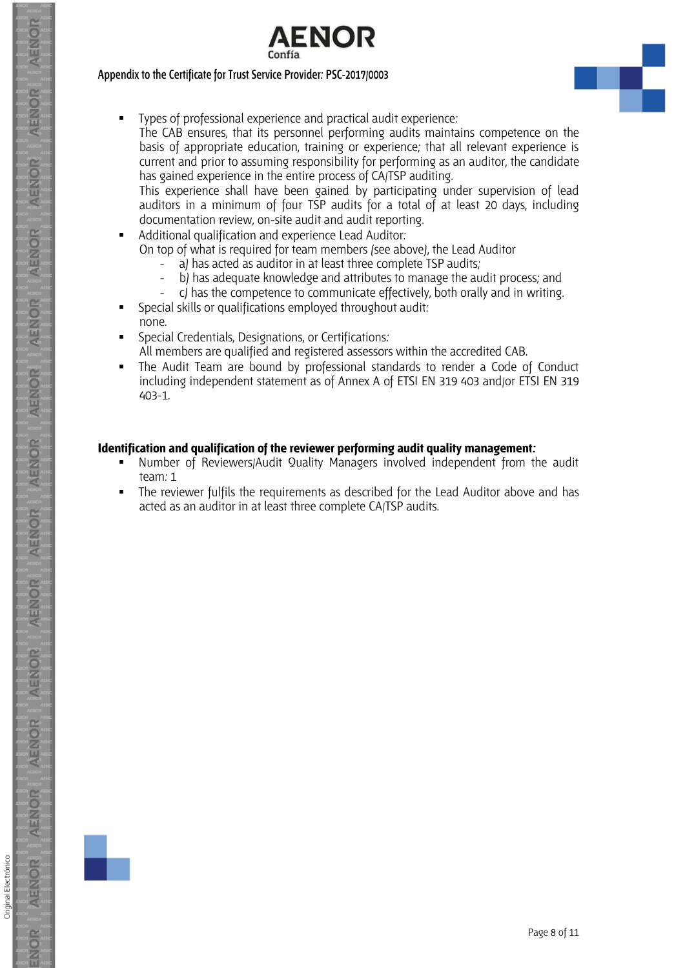



▪ Types of professional experience and practical audit experience:

The CAB ensures, that its personnel performing audits maintains competence on the basis of appropriate education, training or experience; that all relevant experience is current and prior to assuming responsibility for performing as an auditor, the candidate has gained experience in the entire process of CA/TSP auditing.

This experience shall have been gained by participating under supervision of lead auditors in a minimum of four TSP audits for a total of at least 20 days, including documentation review, on-site audit and audit reporting.

- Additional qualification and experience Lead Auditor: On top of what is required for team members (see above), the Lead Auditor
	- a) has acted as auditor in at least three complete TSP audits;
	- b) has adequate knowledge and attributes to manage the audit process; and
		- c) has the competence to communicate effectively, both orally and in writing.
- Special skills or qualifications employed throughout audit: none.
- Special Credentials, Designations, or Certifications: All members are qualified and registered assessors within the accredited CAB.
- The Audit Team are bound by professional standards to render a Code of Conduct including independent statement as of Annex A of ETSI EN 319 403 and/or ETSI EN 319 403-1.

#### **Identification and qualification of the reviewer performing audit quality management:**

- Number of Reviewers/Audit Quality Managers involved independent from the audit team: 1
- The reviewer fulfils the requirements as described for the Lead Auditor above and has acted as an auditor in at least three complete CA/TSP audits.



Original Electrónico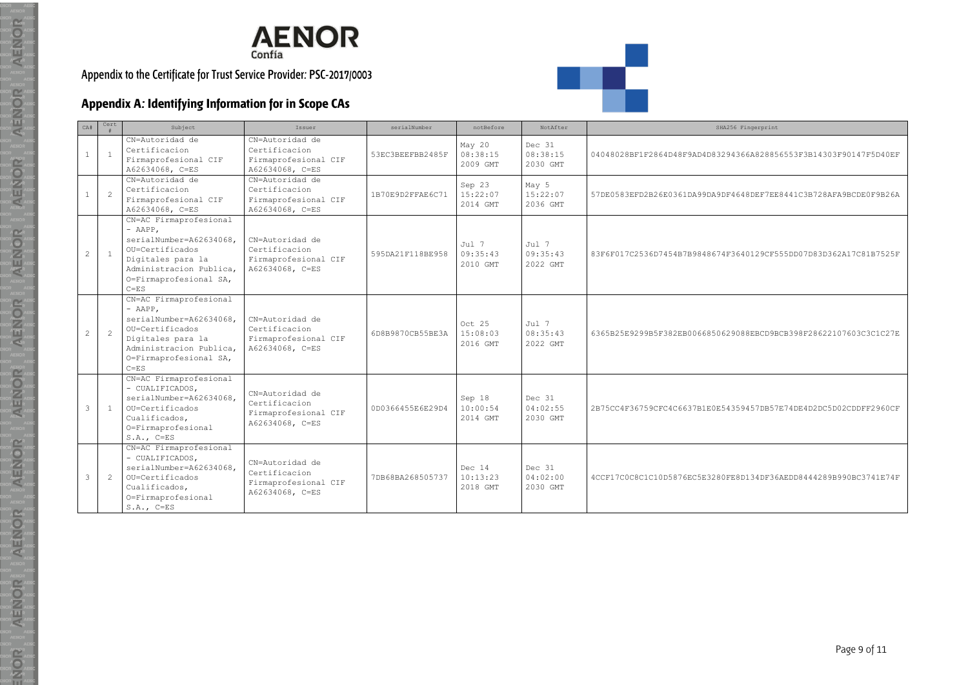

# **Appendix A: Identifying Information for in Scope CAs**

| CA#          | Cert           | Subject                                                                                                                                                                 | Issuer                                                                      | serialNumber     | notBefore                      | NotAfter                       | SHA256 Fingerprint                                               |
|--------------|----------------|-------------------------------------------------------------------------------------------------------------------------------------------------------------------------|-----------------------------------------------------------------------------|------------------|--------------------------------|--------------------------------|------------------------------------------------------------------|
| <sup>1</sup> | $\overline{1}$ | CN=Autoridad de<br>Certificacion<br>Firmaprofesional CIF<br>A62634068, C=ES                                                                                             | CN=Autoridad de<br>Certificacion<br>Firmaprofesional CIF<br>A62634068, C=ES | 53EC3BEEFBB2485F | May 20<br>08:38:15<br>2009 GMT | Dec 31<br>08:38:15<br>2030 GMT | 04048028BF1F2864D48F9AD4D83294366A828856553F3B14303F90147F5D40EF |
| <sup>1</sup> | $\overline{2}$ | CN=Autoridad de<br>Certificacion<br>Firmaprofesional CIF<br>A62634068, C=ES                                                                                             | CN=Autoridad de<br>Certificacion<br>Firmaprofesional CIF<br>A62634068, C=ES | 1B70E9D2FFAE6C71 | Sep 23<br>15:22:07<br>2014 GMT | May 5<br>15:22:07<br>2036 GMT  | 57DE0583EFD2B26E0361DA99DA9DF4648DEF7EE8441C3B728AFA9BCDE0F9B26A |
| 2            | $\overline{1}$ | CN=AC Firmaprofesional<br>$-$ AAPP,<br>serialNumber=A62634068.<br>OU=Certificados<br>Digitales para la<br>Administracion Publica,<br>O=Firmaprofesional SA,<br>$C = ES$ | CN=Autoridad de<br>Certificacion<br>Firmaprofesional CIF<br>A62634068, C=ES | 595DA21F118BE958 | Jul 7<br>09:35:43<br>2010 GMT  | Jul 7<br>09:35:43<br>2022 GMT  | 83F6F017C2536D7454B7B9848674F3640129CF555DD07D83D362A17C81B7525F |
| 2            | $\overline{c}$ | CN=AC Firmaprofesional<br>$-$ AAPP.<br>serialNumber=A62634068.<br>OU=Certificados<br>Digitales para la<br>Administracion Publica,<br>O=Firmaprofesional SA,<br>$C = ES$ | CN=Autoridad de<br>Certificacion<br>Firmaprofesional CIF<br>A62634068, C=ES | 6D8B9870CB55BE3A | Oct 25<br>15:08:03<br>2016 GMT | Jul 7<br>08:35:43<br>2022 GMT  | 6365B25E9299B5F382EB0066850629088EBCD9BCB398F28622107603C3C1C27E |
| 3            | $\overline{1}$ | CN=AC Firmaprofesional<br>- CUALIFICADOS,<br>serialNumber=A62634068,<br>OU=Certificados<br>Cualificados,<br>O=Firmaprofesional<br>$S.A., C=ES$                          | CN=Autoridad de<br>Certificacion<br>Firmaprofesional CIF<br>A62634068, C=ES | 0D0366455E6E29D4 | Sep 18<br>10:00:54<br>2014 GMT | Dec 31<br>04:02:55<br>2030 GMT | 2B75CC4F36759CFC4C6637B1E0E54359457DB57E74DE4D2DC5D02CDDFF2960CF |
| $\mathbf{3}$ | $\overline{2}$ | CN=AC Firmaprofesional<br>- CUALIFICADOS,<br>serialNumber=A62634068,<br>OU=Certificados<br>Cualificados,<br>O=Firmaprofesional<br>$S.A., C=ES$                          | CN=Autoridad de<br>Certificacion<br>Firmaprofesional CIF<br>A62634068, C=ES | 7DB68BA268505737 | Dec 14<br>10:13:23<br>2018 GMT | Dec 31<br>04:02:00<br>2030 GMT | 4CCF17C0C8C1C10D5876EC5E3280FE8D134DF36AEDD8444289B990BC3741E74F |

 $R_{\text{max}}$ 

AENOR

 $R = \frac{1}{\sqrt{N}}$ 

 $\mathbf{A}^{\mathsf{B}}_{\mathsf{B}}\mathbf{N}^{\mathsf{B}}_{\mathsf{B}}\mathbf{N}^{\mathsf{B}}_{\mathsf{B}}\mathbf{N}^{\mathsf{B}}_{\mathsf{B}}$ 

AENOR<br>
A**DAR**<br>
R<br>
AMPRA<br>
R<br>
A

<span id="page-8-0"></span>

R<br>R<br>R<br>R<br>R<br>AENOR

 $R = \frac{R}{R}$ 

AENOR<br>
R<br>
A<br>
R<br>
A<br>
B<br>
A<br>
A<br>
A<br>
A<br>
A<br>
A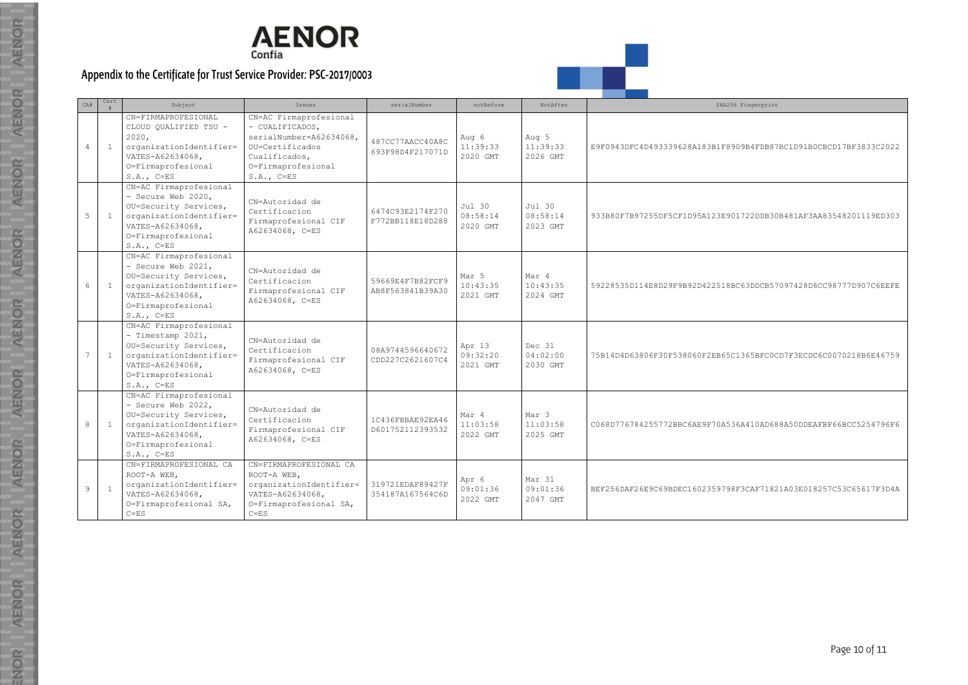

 $R_{\text{A}}$ 

AENOR

 $R = \frac{1}{\sqrt{N}}$ 

AENOR<br>
R<br>
R<br>
R<br>
R<br>
A<br>
R<br>
A<br>
R<br>
A<br>
R<br>
A<br>
R<br>
A<br>
R<br>
A<br>
R

AENOR<br>
AENOR<br>
ATTAR<br>
ATTAR<br>
ATTAR<br>
ATTAR<br>
ATTAR<br>
ATTAR

R<br>R<br>A<br>R<br>R<br>R<br>R<br>AENOR<br>R<br>AENOR

 $R = \frac{R}{R}$ 

AENOR<br>
ARTICLE

| CA#            | Cert           | Subject                                                                                                                                                    | Issuer                                                                                                                                         | serialNumber                         | notBefore                      | NotAfter                       | SHA256 Fingerprint                                               |
|----------------|----------------|------------------------------------------------------------------------------------------------------------------------------------------------------------|------------------------------------------------------------------------------------------------------------------------------------------------|--------------------------------------|--------------------------------|--------------------------------|------------------------------------------------------------------|
| $\overline{4}$ | <sup>1</sup>   | CN=FIRMAPROFESIONAL<br>CLOUD QUALIFIED TSU -<br>2020.<br>organizationIdentifier=<br>VATES-A62634068,<br>O=Firmaprofesional<br>$S.A., C=ES$                 | CN=AC Firmaprofesional<br>- CUALIFICADOS,<br>serialNumber=A62634068,<br>OU=Certificados<br>Cualificados,<br>O=Firmaprofesional<br>$S.A., C=ES$ | 487CC77AACC40A8C<br>693F98D4F217071D | Aug 6<br>11:39:33<br>2020 GMT  | Aug 5<br>11:39:33<br>2026 GMT  | E9F0943DFC4D493339628A183B1F8909B4FDB87BC1D91B0CBCD17BF3833C2022 |
| 5              | $\overline{1}$ | CN=AC Firmaprofesional<br>- Secure Web 2020,<br>OU=Security Services,<br>organizationIdentifier=<br>VATES-A62634068,<br>O=Firmaprofesional<br>$S.A., C=ES$ | CN=Autoridad de<br>Certificacion<br>Firmaprofesional CIF<br>A62634068, C=ES                                                                    | 6474C93E2174F270<br>F772BB118E18D288 | Jul 30<br>08:58:14<br>2020 GMT | Jul 30<br>08:58:14<br>2023 GMT | 933B80F7B97255DF5CF1D95A123E901722DDB30B481AF3AA83548201119ED303 |
| 6              | $\overline{1}$ | CN=AC Firmaprofesional<br>- Secure Web 2021,<br>OU=Security Services,<br>organizationIdentifier=<br>VATES-A62634068,<br>O=Firmaprofesional<br>$S.A., C=ES$ | CN=Autoridad de<br>Certificacion<br>Firmaprofesional CIF<br>A62634068, C=ES                                                                    | 59669E4F7B82FCF9<br>AB8F563841B39A30 | Mar 5<br>10:43:35<br>2021 GMT  | Mar 4<br>10:43:35<br>2024 GMT  | 59228535D114E8D29F9B92D422518BC63DDCB57097428D8CC98777D907C6EEFE |
| $\overline{7}$ | $\overline{1}$ | CN=AC Firmaprofesional<br>- Timestamp 2021,<br>OU=Security Services,<br>organizationIdentifier=<br>VATES-A62634068,<br>O=Firmaprofesional<br>$S.A., C=ES$  | CN=Autoridad de<br>Certificacion<br>Firmaprofesional CIF<br>A62634068, C=ES                                                                    | 08A9744596640672<br>CDD227C2621607C4 | Apr 13<br>09:32:20<br>2021 GMT | Dec 31<br>04:02:00<br>2030 GMT | 75B14D4D63806F30F538060F2EB65C1365BFC0CD7F3ECDC6C0070218B6E46759 |
| 8              | $\overline{1}$ | CN=AC Firmaprofesional<br>- Secure Web 2022,<br>OU=Security Services,<br>organizationIdentifier=<br>VATES-A62634068,<br>O=Firmaprofesional<br>$S.A., C=ES$ | CN=Autoridad de<br>Certificacion<br>Firmaprofesional CIF<br>A62634068, C=ES                                                                    | 1C436FBBAE92EA46<br>D601752112393532 | Mar 4<br>11:03:58<br>2022 GMT  | Mar 3<br>11:03:58<br>2025 GMT  | C068D776784255772BBC6AE9F70A536A410AD688A50DDEAFBF66BCC5254796F6 |
| $\circ$        | $\overline{1}$ | CN=FIRMAPROFESIONAL CA<br>ROOT-A WEB,<br>organizationIdentifier=<br>VATES-A62634068,<br>O=Firmaprofesional SA,<br>$C = F.S$                                | CN=FIRMAPROFESIONAL CA<br>ROOT-A WEB.<br>organizationIdentifier=<br>VATES-A62634068,<br>O=Firmaprofesional SA,<br>$C = ES$                     | 319721EDAF89427F<br>354187A167564C6D | Apr 6<br>09:01:36<br>2022 GMT  | Mar 31<br>09:01:36<br>2047 GMT | BEF256DAF26E9C69BDEC1602359798F3CAF71821A03E018257C53C65617F3D4A |

.

 $\Box$